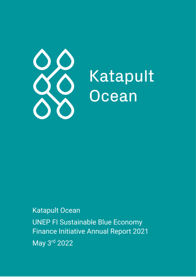

# Katapult Ocean

**Katapult Ocean** 

**UNEP FI Sustainable Blue Economy Finance Initiative Annual Report 2021** May 3rd 2022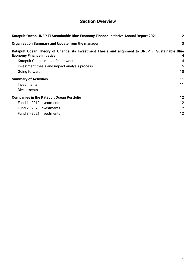# **Section Overview**

| Katapult Ocean UNEP FI Sustainable Blue Economy Finance Initiative Annual Report 2021                                                 |    |  |  |  |  |
|---------------------------------------------------------------------------------------------------------------------------------------|----|--|--|--|--|
| <b>Organisation Summary and Update from the manager</b>                                                                               | 3  |  |  |  |  |
| Katapult Ocean Theory of Change, its Investment Thesis and alignment to UNEP FI Sustainable Blue<br><b>Economy Finance Initiative</b> | 4  |  |  |  |  |
| Katapult Ocean Impact Framework                                                                                                       | 4  |  |  |  |  |
| Investment thesis and impact analysis process                                                                                         | 5  |  |  |  |  |
| Going forward                                                                                                                         | 10 |  |  |  |  |
| <b>Summary of Activities</b>                                                                                                          | 11 |  |  |  |  |
| Investments                                                                                                                           | 11 |  |  |  |  |
| Divestments                                                                                                                           | 11 |  |  |  |  |
| <b>Companies in the Katapult Ocean Portfolio</b>                                                                                      | 12 |  |  |  |  |
| Fund 1 - 2019 Investments                                                                                                             | 12 |  |  |  |  |
| Fund 2 - 2020 Investments                                                                                                             | 12 |  |  |  |  |
| Fund 3 - 2021 Investments                                                                                                             | 12 |  |  |  |  |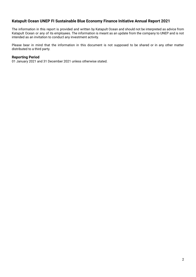# <span id="page-2-0"></span>**Katapult Ocean UNEP FI Sustainable Blue Economy Finance Initiative Annual Report 2021**

The information in this report is provided and written by Katapult Ocean and should not be interpreted as advice from Katapult Ocean or any of its employees. The information is meant as an update from the company to UNEP and is not intended as an invitation to conduct any investment activity.

Please bear in mind that the information in this document is not supposed to be shared or in any other matter distributed to a third party.

# **Reporting Period**

01 January 2021 and 31 December 2021 unless otherwise stated.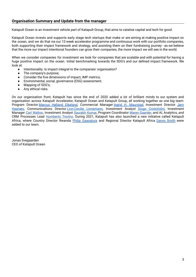<span id="page-3-0"></span>Katapult Ocean is an investment vehicle part of Katapult Group, that aims to catalise capital and tech for good.

Katapult Ocean invests and supports early stage tech startups that make or are aiming at making positive impact on the ocean, and we do that via our 12-week accelerator programme and continuous work with our portfolio companies, both supporting their impact framework and strategy, and assisting them on their fundraising journey - as we believe that the more our impact intentional founders can grow their companies, the more impact we will see in the world.

When we consider companies for investment we look for companies that are scalable and with potential for having a huge positive impact on the ocean. Initial benchmarking towards the SDG's and our defined impact framework. We look at:

- Intentionality: Is impact integral to the companies' organisation?
- The company's purpose;
- Consider the five dimensions of impact, IMP metrics;
- Environmental, social, governance (ESG) assessment;
- Mapping of SDG's;
- Any ethical risks.

On our organisation front, Katapult has since the end of 2020 added a lot of brilliant minds to our system and organisation across Katapult Accelerator, Katapult Ocean and Katapult Group, all working together as one big team: Program Director Marcus Hølland [Eikeland,](https://www.linkedin.com/in/mhollandeikeland/) Commercial Manager Ingrid H. [Maurstad](https://www.linkedin.com/in/ingridmaurstad/), Investment Director [Jørn](https://www.linkedin.com/in/jornhaanes/) [Haanæs](https://www.linkedin.com/in/jornhaanes/), Communications Director [Linn-Cecilie](https://www.linkedin.com/in/linncecilie/) Linnemann, Investment Analyst Diogo [Cristofolini,](https://www.linkedin.com/in/diogo-cristofolini/) Investment Manager Carl [Walton,](https://www.linkedin.com/in/carl-walton-11809953/) Investment Analyst [Saurabh](https://www.linkedin.com/in/saurabhkumar01/) Kumar, Program Coordinator Maren [Gaarder](https://www.linkedin.com/in/marengaarder/), and AI, Analytics, and CRM Processes Lead [Humberto](https://www.linkedin.com/in/humbertoanalytics/) Trevino. During 2021, Katapult has also launched a new initiative called Katapult Africa, where Country Director Rwanda Philip [Gaasatura](https://www.linkedin.com/in/philip-gasaatura-254a06/) and Regional Director Katapult Africa [Danny](https://www.linkedin.com/in/danny-smith-43768974/) Smith were added to our team.

Jonas Svegaarden CEO of Katapult Ocean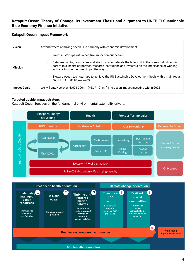# <span id="page-4-0"></span>**Katapult Ocean Theory of Change, its Investment Thesis and alignment to UNEP FI Sustainable Blue Economy Finance Initiative**

# <span id="page-4-1"></span>**Katapult Ocean Impact Framework**

| <b>Vision</b>       | A world where a thriving ocean is in harmony with economic development                                                                                                                                                                                                                                                                                                                                                                                                                           |
|---------------------|--------------------------------------------------------------------------------------------------------------------------------------------------------------------------------------------------------------------------------------------------------------------------------------------------------------------------------------------------------------------------------------------------------------------------------------------------------------------------------------------------|
| <b>Mission</b>      | Invest in startups with a positive impact on our ocean<br>$\overline{\phantom{a}}$<br>Catalyse capital, companies and startups to accelerate the blue shift in the ocean industries. As<br>$\overline{\phantom{a}}$<br>part of this inspire corporates, research institutions and investors on the importance of working<br>with startups in the most impactful way<br>Steward ocean tech startups to achieve the UN Sustainable Development Goals with a main focus<br>$\overline{\phantom{a}}$ |
| <b>Impact Goals</b> | on SDG 14 - Life below water<br>We will catalyse over NOK 1 000mn (~EUR 101mn) into ocean impact investing within 2025                                                                                                                                                                                                                                                                                                                                                                           |

# **Targeted upside impact strategy.**

Katapult Ocean focuses on the fundamental environmental externality drivers.



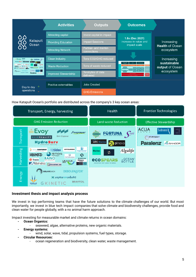|                                                                                                  | <b>Activities</b>           | <b>Outputs</b>                      | <b>Outcomes</b>                                          |                                     |  |
|--------------------------------------------------------------------------------------------------|-----------------------------|-------------------------------------|----------------------------------------------------------|-------------------------------------|--|
| Katapult<br>Ocean                                                                                | Attracting capital          | Invest capital in impact            |                                                          |                                     |  |
|                                                                                                  | <b>Providing Education</b>  | <b>Impact Sessions</b>              | 1.8x (Dec 2021)<br>increase in value and<br>impact scale | Increasing                          |  |
|                                                                                                  | <b>Attracting Network</b>   | Partner- and mentor-<br>connections |                                                          | <b>Health of Ocean</b><br>ecosystem |  |
| Evoy <b>MA</b><br>FORTUNA C<br><b>Example State</b><br>Algalife<br>PEARS BOTHY<br>Paralenz Award | <b>Clean Industry</b>       | Tons CO2/GHG reduced                |                                                          | Increasing                          |  |
|                                                                                                  | <b>Waste Reduction</b>      | Tons of waste reduced               |                                                          | sustainable<br>output of Ocean      |  |
|                                                                                                  | <b>Improved Stewardship</b> | Terabytes of data<br>delivered      |                                                          | ecosystem                           |  |
|                                                                                                  |                             |                                     |                                                          |                                     |  |
| Day to day<br>operations                                                                         | Positive externalities      | <b>Jobs Created</b>                 |                                                          |                                     |  |
|                                                                                                  |                             | <b>GHG Emissions</b>                |                                                          |                                     |  |

How Katapult Ocean's portfolio are distributed across the company's 3 key ocean areas:



# <span id="page-5-0"></span>**Investment thesis and impact analysis process**

We invest in top performing teams that have the future solutions to the climate challenges of our world. But most importantly, we invest in blue tech impact companies that solve climate and biodiversity challenges, provide food and clean water for people globally, with a no animal harm approach.

Impact investing for measurable market and climate returns in ocean domains:

- **- Ocean Organics:**
	- seaweed, algae, alternative proteins, new organic materials.
- **- Energy systems:**
	- wind, solar, wave, tidal, propulsion systems, fuel types, storage.
- **- Circular Resources:**
	- ocean regeneration and biodiversity, clean water, waste management.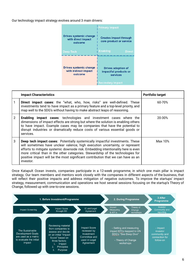Our technology impact strategy evolves around 3 main drivers:

|                                                                | <b>Primary Impact</b>                                                                     |
|----------------------------------------------------------------|-------------------------------------------------------------------------------------------|
| <b>Drives systemic change</b><br>with direct impact<br>outcome | <b>Creates impact through</b><br>core product or service                                  |
| Deep Tech                                                      | <b>Enabling</b><br><b>Direct</b>                                                          |
| Drives systemic change<br>with indirect impact<br>outcome      | <b>Drives adoption of</b><br>impactful products or<br>services<br><b>Secondary Impact</b> |

|   | <b>Impact Characteristics</b>                                                                                                                                                                                                                                                                                                                                                                                                                  | <b>Portfolio target</b> |
|---|------------------------------------------------------------------------------------------------------------------------------------------------------------------------------------------------------------------------------------------------------------------------------------------------------------------------------------------------------------------------------------------------------------------------------------------------|-------------------------|
|   | <b>Direct impact cases:</b> the "what, who, how, risks" are well-defined. These<br>investments tend to have impact as a primary feature and a top-level priority, and<br>map well to the SDG's without having to make abstract leaps of reasoning.                                                                                                                                                                                             | 60-70%                  |
| 2 | <b>Enabling impact cases:</b> technologies and investment cases where the<br>dimensions of impact effects are strong but where the solution is enabling others<br>to have impact. Example cases may be companies that have the potential to<br>disrupt industries or dramatically reduce costs of various essential goods or<br>services.                                                                                                      | 20-30%                  |
| 3 | <b>Deep tech impact cases:</b> Potentially systemically impactful investments. These<br>will sometimes have unclear valence, high execution uncertainty, or represent<br>efforts to mitigate systemic downside risk. Embedding intentionality here is even<br>more critical than in the other categories. Stewardship of the technologies for<br>positive impact will be the most significant contribution that we can have as an<br>investor. | Max 10%                 |

Once Katapult Ocean invests, companies participate in a 12-week programme, in which one main pillar is impact strategy. Our team members and mentors work closely with the companies in different aspects of the business, that will reflect their positive impacts and address mitigation of negative outcomes. To improve the startups' impact strategy, measurement, communication and operations we host several sessions focusing on the startup's Theory of Change, followed up with one-to-one sessions.

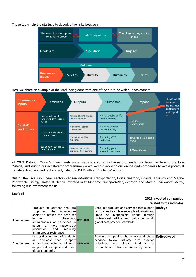# These tools help the startups to describe the links between:



Here we share an example of the work being done with one of the startups with our assistance:

| <b>Resources</b> /<br><b>Inputs</b> | <b>Activities</b>                                     | <b>Outputs</b>                                | <b>Outcomes</b>                           | <b>Impact</b>                 | This is what<br>we want<br>the startups<br>to measure |
|-------------------------------------|-------------------------------------------------------|-----------------------------------------------|-------------------------------------------|-------------------------------|-------------------------------------------------------|
|                                     | Partner with local<br>farmers to buy coconut<br>husks | Amount of extra income<br>to coconut farmers  | Higher quality of life<br>for the farmers | <b>Resilient</b>              | and report<br>on                                      |
| Capital/<br>work hours              | Use coconut husks to<br>produce coolers               | Number of Nutshell<br>coolers sold            | Better ecosystem in<br>the community      | Communities                   |                                                       |
|                                     |                                                       | Number of families<br>supported               | <b>Reducing CO2</b><br>emissions          | Towards a 1.5 degree<br>world |                                                       |
|                                     | Sell coconut coolers to<br>local fishermen            | Kg of coconut husks<br>prevented from burning | Reducing plastic<br>waste in the Oceans   | A Clean Ocean                 |                                                       |

All 2021 Katapult Ocean's investments were made according to the recommendations from the Turning the Tide Criteria, and during our accelerator programme we worked closely with our onboarded companies to avoid potential negative direct and indirect impact, listed by UNEP with a "Challenge" action.

Out of the Five Key Ocean sectors chosen (Maritime Transportation, Ports, Seafood, Coastal Tourism and Marine Renewable Energy) Katapult Ocean invested in 3: *Maritime Transportation*, *Seafood* and *Marine Renewable Energy*, following our investment thesis.

#### **Seafood**

| 2021 Invested companies<br>related to the indicator |                                                                                                                                                                                                                                                                                                                                                                                                                                                                                  |  |                                                                                                                                                                                                                          |  |  |  |
|-----------------------------------------------------|----------------------------------------------------------------------------------------------------------------------------------------------------------------------------------------------------------------------------------------------------------------------------------------------------------------------------------------------------------------------------------------------------------------------------------------------------------------------------------|--|--------------------------------------------------------------------------------------------------------------------------------------------------------------------------------------------------------------------------|--|--|--|
| <b>Aquaculture</b>                                  | Products or services that are<br>supporting the aguaculture<br>sector to reduce the need for<br>chemicals, SEEK OUT<br>harmful and the state of the state of the state of the state of the state of the state of the state of the state of the state of the state of the state of the state of the state of the state of the state of the state of the<br>antimicrobials or pesticides in<br>pursuit of more responsible<br>production and reducing<br>antimicrobial resistance. |  | Seek out products and services that support Biofeyn<br>companies to achieve recognised targets and<br>limits on responsible usage through<br>professional advice and guidance, within<br>global best practice standards. |  |  |  |
| <b>Aquaculture</b>                                  | Use or development of products<br>services that support<br>or<br>aquaculture sector to minimise SEEK OUT<br>or prevent escapes and meet<br>global standards.                                                                                                                                                                                                                                                                                                                     |  | Seek out companies whose new products or Softseaweed<br>services follow industry best practice<br>quidelines and global standards for<br>husbandry and infrastructure facility usage.                                    |  |  |  |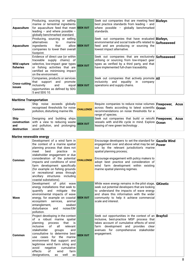| <b>Aquaculture</b>             | Producing, sourcing or selling<br>marine or terrestrial ingredients<br>for aquaculture feed that meet SEEK OUT<br>leading $-$ and where possible $-$<br>globally benchmarked standard.                   | Seek out companies that are meeting feed <b>Biofeyn</b><br>best practice standards from leading - and<br>where possible $-$ globally benchmarked<br>standards.                                 |  |
|--------------------------------|----------------------------------------------------------------------------------------------------------------------------------------------------------------------------------------------------------|------------------------------------------------------------------------------------------------------------------------------------------------------------------------------------------------|--|
| <b>Aquaculture</b>             | Producing, sourcing or selling<br>alternatives to marine<br>ingredients that allow SEEK OUT<br>companies to lower their overall<br>footprint.                                                            | Seek out companies that have evaluated Biofeyn.<br>environmental and social trade-offs related to Softseaweed<br>feed and are producing or sourcing the<br>lowest impact alternative.          |  |
| Wild capture<br>fisheries      | Evidence of direct use (or within<br>traceable supply chains) of<br>selective, low-impact gear types SEEK OUT<br>or fishing activities that are<br>certified as minimising impact<br>on the environment. | Seek out companies that are exclusively Softseaweed<br>utilising or sourcing from low-impact gear<br>types as verified by a third party, and that<br>have implemented full-chain traceability. |  |
| <b>Cross-cutting</b><br>issues | Companies, products or services<br>that support and promote<br>inclusivity and equal SEEK OUT<br>opportunities as defined by SDG<br>5 and SDG 10.                                                        | Seek out companies that actively promote <b>All</b><br>inclusivity and equality in company<br>operations and supply chains.                                                                    |  |

# **Maritime Transportation**

| <b>Common</b>              | Ship noise exceeds globally<br>recognised thresholds for noise <b>CHALLENGE</b><br>pollution, disturbing marine life.                                                 | Require companies to reduce noise volumes Freepower,<br>across fleets according to latest scientific Ocean<br>recommendations on noise thresholds for a<br>range of species. | <b>Acua</b> |
|----------------------------|-----------------------------------------------------------------------------------------------------------------------------------------------------------------------|------------------------------------------------------------------------------------------------------------------------------------------------------------------------------|-------------|
| <b>Ship</b><br>destruction | Designing and building ships<br><b>construction</b> with a view to reducing waste <b>SEEK OUT</b><br>and and pollution, and prolonging <b>SEEK OUT</b><br>asset life. | Seek out companies that build or retrofit Freepower,<br>vessels with end-life cycle in mind. Explore Ocean<br>leasing of new green technology.                               | Acua⊺       |

#### **Marine renewable energy**

| Common | Development of a wind farm in<br>the context of a marine spatial<br>planning process that does not<br>meet<br>best<br>practice<br>in<br>stakeholder engagement or due<br>consideration of the potential<br>impacts and conditions of wind<br>farm development specifically<br>(for example on fishing grounds<br>or recreational areas through<br>ancillary structures including<br>coastal substations).                      | <b>CHALLENGE</b> | Encourage developers to set the standard for Gazelle Wind<br>engagement over and above what may be set <b>Power</b><br>out by the relevant jurisdiction's marine<br>spatial planning process;<br>Encourage engagement with policy makers to<br>adopt best practice and consideration of<br>wind farm development within existing<br>marine spatial planning regimes. |  |
|--------|--------------------------------------------------------------------------------------------------------------------------------------------------------------------------------------------------------------------------------------------------------------------------------------------------------------------------------------------------------------------------------------------------------------------------------|------------------|----------------------------------------------------------------------------------------------------------------------------------------------------------------------------------------------------------------------------------------------------------------------------------------------------------------------------------------------------------------------|--|
| Wave   | Development of pilot wave<br>energy installations that seek to<br>quantify<br>and mitigate<br>the<br>environmental impacts of wave<br>energy, for example on coastal SEEK OUT<br>ecosystem services,<br>animal<br>seabed<br>entanglement,<br>disturbance<br>and<br>noise/EM<br>pollution.                                                                                                                                      |                  | While wave energy remains in the pilot stage, GKinetic<br>seek out potential developers that are looking<br>to understand the impacts of wave energy<br>and share this information with the wider<br>community to help it achieve commercial<br>scale and interest.                                                                                                  |  |
| Common | Project developing in the context<br>of a robust marine spatial<br>that<br>planning<br>process<br>is is<br>of<br>inclusive<br>all<br>relevant<br>stakeholder<br>groups<br>and<br>consultative to determine best<br>use cases for the marine<br>environment that support and<br>legitimise wind farm siting and<br>avoid<br>negative<br>cumulative<br>effects<br>$\circ$ f<br>farm<br>wind<br>well<br>designations,<br>as<br>as | <b>SEEK OUT</b>  | Seek out opportunities in the context of an <b>Brayfoil</b><br>inclusive, best-practice MSP process that<br>takes account of cumulative effects of wind<br>farm development and provides clear<br>avenues for comprehensive stakeholder<br>engagement.                                                                                                               |  |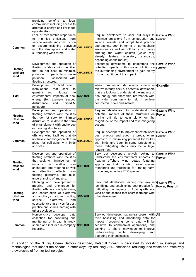|                                     | providing benefits to<br>local<br>communities including access to<br>affordable energy and livelihood<br>opportunities.                                                                                                                                                                                      |                  |                                                                                                                                                                                                                                                                                                                                                                           |  |
|-------------------------------------|--------------------------------------------------------------------------------------------------------------------------------------------------------------------------------------------------------------------------------------------------------------------------------------------------------------|------------------|---------------------------------------------------------------------------------------------------------------------------------------------------------------------------------------------------------------------------------------------------------------------------------------------------------------------------------------------------------------------------|--|
| <b>Common</b>                       | Lack of measurable steps taken<br>to minimise emissions from<br>service vessels and construction<br>or decommissioning activities<br>into the atmosphere and water<br>surrounding wind farms.                                                                                                                | <b>CHALLENGE</b> | Require developers to seek out ways to Gazelle Wind<br>minimise emissions from construction and <b>Power</b><br>service vessels and adopt best practice<br>approaches, both in terms of atmospheric<br>emissions as well as pollutants (e.g. soot)<br>entering the water column (which may<br>regulatory<br>already<br>feature<br>standards,<br>depending on the market). |  |
| Floating<br>offshore<br>wind        | Development and operation of<br>floating offshore wind facilities<br>that do not seek to minimise<br>pollution - particularly noise<br>pollution - associated with<br>floating structures.                                                                                                                   | <b>CHALLENGE</b> | Encourage developers to understand the <b>Gazelle Wind</b><br>potential impacts of this noise pollution on <b>Power</b><br>the surrounding environment to gain clarity<br>on the magnitude of the impact.                                                                                                                                                                 |  |
| Tidal                               | Development of tidal energy<br>installations<br>that<br>seek<br>to<br>quantify and mitigate the<br>environmental impacts of tidal SEEK OUT<br>energy (for example seabed<br>disturbance<br>and<br>noise/EM<br>pollution).                                                                                    |                  | While commercial tidal energy remains in $G$ Kinetic<br>relative infancy, seek out potential developers<br>that are looking to understand the impacts of<br>tidal energy and share this information with<br>the wider community to help it achieve<br>commercial scale and interest.                                                                                      |  |
| <b>Floating</b><br>offshore<br>wind | Development and operation of<br>floating offshore wind facilities<br>that do not seek to minimise<br>disruption to wildlife in the form<br>of entanglement with anchorage<br>or mooring structures.                                                                                                          | <b>CHALLENGE</b> | Require developers to understand the Gazelle Wind<br>potential impacts of these structures on <b>Power</b><br>marine animals to gain clarity on the<br>magnitude of the impact and take mitigating<br>actions.                                                                                                                                                            |  |
| <b>Common</b>                       | Development and operation of<br>offshore wind facilities that do<br>not have clear mitigation plans in<br>place for collisions with birds<br>and bats.                                                                                                                                                       | <b>CHALLENGE</b> | Require developers to implement established Gazelle Wind<br>best practice and adopt a precautionary <b>Power</b><br>approach to minimising potential for strikes<br>with birds and bats. In some jurisdictions,<br>these mitigating steps may be a legal<br>requirement.                                                                                                  |  |
| <b>Floating</b><br>offshore<br>wind | Development and operation of<br>floating offshore wind facilities<br>that seek to minimise harmful<br>on wildlife<br>impacts<br>from<br>anchorage and mooring as well<br>attraction effects<br>from<br>as<br>floating platforms, and<br>build<br>understanding of impacts.                                   | SEEK OUT         | Seek out developers actively looking to Gazelle Wind<br>understand the environmental impacts of <b>Power</b><br>floating offshore wind better, featuring<br>approaches that include marine species<br>monitoring and thresholds for limiting harm<br>to species, especially ETP species.                                                                                  |  |
| <b>Floating</b><br>offshore<br>wind | Planning and development of<br>mooring and anchorage for<br>floating offshore wind platforms,<br>and construction of platforms<br>and ancillary structures (cabling, SEEK OUT<br>service<br>platforms<br>and<br>substations) that strives for best<br>practice and shares learning with<br>other developers. |                  | Seek out developers leading the way in <b>Gazelle Wind</b><br>identifying and establishing best practice for <b>Power, Brayfoil</b><br>mitigating the impacts of floating offshore<br>wind on the seabed that share learnings with<br>other developers.                                                                                                                   |  |
| <b>Common</b>                       | Non-sensitive developer<br>data<br>collection for baselining and<br>monitoring of impact is freely<br>shared and included in company SEEK OUT<br>reporting.                                                                                                                                                  |                  | Seek out developers that are transparent with $\Delta$ II<br>their baselining and monitoring data for<br>impact (recognising some data will be<br>sensitive to commercial operations) and<br>working to share knowledge to improve<br>understanding<br>while<br>developing<br>and<br>operating their businesses.                                                          |  |

In addition to the 3 Key Ocean Sectors described, Katapult Ocean is dedicated to investing in startups and technologies that impact the oceans in other ways, by reducing GHG emissions, reducing land-waste and effectively stewardship of frontier technologies.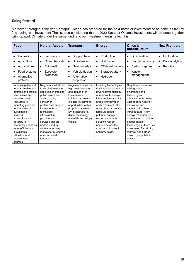# <span id="page-10-0"></span>**Going forward**

Moreover, throughout the year, Katapult Ocean has prepared for the next batch of investments to be done in 2022 by fine tuning our Investment Thesis, also considering that in 2022 Katapult Ocean's investments will be done together with Katapult Climate under the same fund, and our investment areas reflect this:

| Food                                                                                                                                                                                                                                                                                       | <b>Natural Assets</b>                                                                                                                                                                                                                                                              | <b>Transport</b>                                                                                                                                                                                              | <b>Energy</b>                                                                                                                                                                                                                                                                                     | Cities &<br><b>Infrastructure</b>                                                                                                                                                                                                                                                                                                   | <b>New Frontiers</b>                           |
|--------------------------------------------------------------------------------------------------------------------------------------------------------------------------------------------------------------------------------------------------------------------------------------------|------------------------------------------------------------------------------------------------------------------------------------------------------------------------------------------------------------------------------------------------------------------------------------|---------------------------------------------------------------------------------------------------------------------------------------------------------------------------------------------------------------|---------------------------------------------------------------------------------------------------------------------------------------------------------------------------------------------------------------------------------------------------------------------------------------------------|-------------------------------------------------------------------------------------------------------------------------------------------------------------------------------------------------------------------------------------------------------------------------------------------------------------------------------------|------------------------------------------------|
| Harvesting<br>Agriculture<br>Aquaculture<br>Food systems<br>Alternative<br>proteins<br>Increasing demand<br>for sustainable food                                                                                                                                                           | <b>Biodiversity</b><br>$\bullet$<br>Ocean habitats<br>$\bullet$<br>Soil health<br>$\bullet$<br>Ecosystem<br>$\bullet$<br>protection<br>Regulatory initiatives<br>to combat resource                                                                                                | Supply chain<br>$\bullet$<br>Digitalisation<br>٠<br>New materials<br>$\bullet$<br>Vehicle design<br>Alternative<br>propulsion<br>Regulatory tailwinds,<br>high cost pressure                                  | Production<br>$\bullet$<br><b>Distribution</b><br>$\bullet$<br>Offshore/onshore<br>$\bullet$<br>Storage/battery<br>$\bullet$<br>Hydrogen<br>$\bullet$<br>Enabling technologies<br>that increase access or                                                                                         | Optimisation<br>$\bullet$<br>Circular economy<br>Carbon capture<br>٠<br>Waste<br>$\bullet$<br>management<br>Regulatory pressures,<br>raising public                                                                                                                                                                                 | Exploration<br>٠<br>Data analytics<br>Robotics |
| sources and protein<br>alternatives and<br>depleting land<br>resources is<br>mounting pressure<br>for innovation in<br>sustainable<br>seafood,<br>aquaculture and<br>agriculture.<br>Technology enables<br>more efficient and<br>sustainable<br>utilisation and<br>unlocks new<br>sources. | depletion, increasing<br>public awareness<br>and changing<br>consumer<br>preferences support<br>investments in<br>technology,<br>infrastructure,<br>products and<br>services that are<br>underpinned by<br>circular economy<br>models for a reduced<br>environmental<br>footprint. | and demand for<br>low-emission<br>solutions is creating<br>exciting investment<br>opportunities within<br>propulsion systems,<br>EV infrastructure.<br>digital technology,<br>materials and supply<br>chains. | lower cost/complexity<br>of renewable energy<br>infrastructure are vital<br>areas for innovation<br>and investment. The<br>ocean is a particularly<br>large untapped<br>potential energy<br>resource - though<br>solutions will be<br>needed across the<br>spectrum of current<br>and new fields. | awareness and<br>technological<br>advancements create<br>vast opportunities for<br>innovation and<br>disruption in urban<br>infrastructure. From<br>energy management<br>optimisation to carbon<br>sequestration<br>technologies - there is a<br>major need for retrofit.<br>renewal and further<br>driven by population<br>growth. |                                                |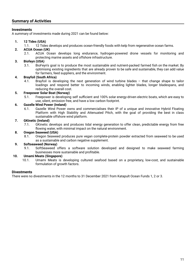# <span id="page-11-1"></span><span id="page-11-0"></span>**Investments**

A summary of investments made during 2021 can be found below:

#### **1. 12 Tides (USA)**

1.1. 12 Tides develops and produces ocean-friendly foods with kelp from regenerative ocean farms.

# **2. ACUA Ocean (UK)**

2.1. ACUA Ocean develops long endurance, hydrogen-powered drone vessels for monitoring and protecting marine assets and offshore infrastructure.

# **3. Biofeyn (USA)**

3.1. BioFeyn's goal is to produce the most sustainable and nutrient-packed farmed fish on the market. By optimising existing ingredients that are already proven to be safe and sustainable, they can add value for farmers, feed suppliers, and the environment.

#### **4. Brayfoil (South Africa)**

4.1. Brayfoil is developing the next generation of wind turbine blades – that change shape to tailor loadings and respond better to incoming winds, enabling lighter blades, longer bladespans, and reducing the overall cost.

#### **5. Freepower Solar Boat (Norway)**

5.1. Freepower is developing self sufficient and 100% solar energy-driven electric boats, which are easy to use, silent, emission free, and have a low carbon footprint.

# **6. Gazelle Wind Power (Ireland)**

6.1. Gazelle Wind Power owns and commercialises their IP of a unique and innovative Hybrid Floating Platform with High Stability and Attenuated Pitch, with the goal of providing the best in class sustainable offshore wind platform.

# **7. GKinetic (Ireland)**

7.1. GKinetic develops and produces tidal energy generation to offer clean, predictable energy from free flowing water, with minimal impact on the natural environment.

#### **8. Oregon Seaweed (USA)**

8.1. Oregon Seaweed produces pure vegan complete-protein powder extracted from seaweed to be used as a sustainable and carbon negative supplement.

#### **9. Softseaweed (Norway)**

9.1. SoftSeaweed offers a software solution developed and designed to make seaweed farming businesses more sustainable and profitable.

#### **10. Umami Meats (Singapore)**

10.1. Umami Meats is developing cultured seafood based on a proprietary, low-cost, and sustainable formulation of growth factors.

#### <span id="page-11-2"></span>**Divestments**

There were no divestments in the 12 months to 31 December 2021 from Katapult Ocean Funds 1, 2 or 3.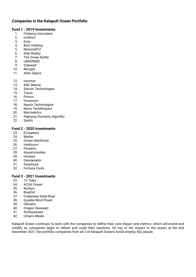# <span id="page-12-0"></span>**Companies in the Katapult Ocean Portfolio**

# <span id="page-12-1"></span>**Fund 1 - 2019 Investments**

- 1. Fishency Innovation
- 2. Ichthion
- 3. Evoy
- 4. Brim Holding<br>5. RemoraXYZ
- RemoraXYZ
- 6. Ship Reality<br>7. The Ocean B
- 7. The Ocean Bottle<br>8. UNDERSEE
- 8. UNDERSEE<br>9. SubseaX
- SubseaX
- 10. Recyglo
- 11. Atlan Space
- 12. Innomar
- 13. ARC Marine
- 14. Sanoor Technologies<br>15. Tracio
- **Tracio**
- 16. Pinovo
- 17. Oceanium
- 18. Nautix Technologies
- 19. Raino Tech4Impact
- 20. Marimetrics
- 21. Algeaing (formerly Alga-life)
- 22. Saathi

# <span id="page-12-2"></span>**Fund 2 - 2020 Investments**

- 23. Ecospears
- 24. Matter<br>25. Ocean
- **Ocean Rainforest**
- 26. Hydrosurv
- 27. Paralenz
- 28. Aquammodate
- 29. Hooked
- 30. Desolenator
- 31. SolarDuck
- 32. Fortuna Cools

# <span id="page-12-3"></span>**Fund 3 - 2021 Investments**

- 33. 12 Tides
- 34. ACUA Ocean
- 35. Biofeyn
- 36. Brayfoil
- 37. Freepower Solar Boat
- 38. Gazelle Wind Power
- 39. GKinetic
- 40. Oregon Seaweed
- 41. Softseaweed
- 42. Umami Meats

Katapult Ocean continues to work with the companies to define their core impact and metrics- which will evolve and solidify as companies begin to deliver and scale their solutions. On top of the impact to the ocean, at the end December 2021, the portfolio companies from all 3 of Katapult Ocean's funds employ 462 people.